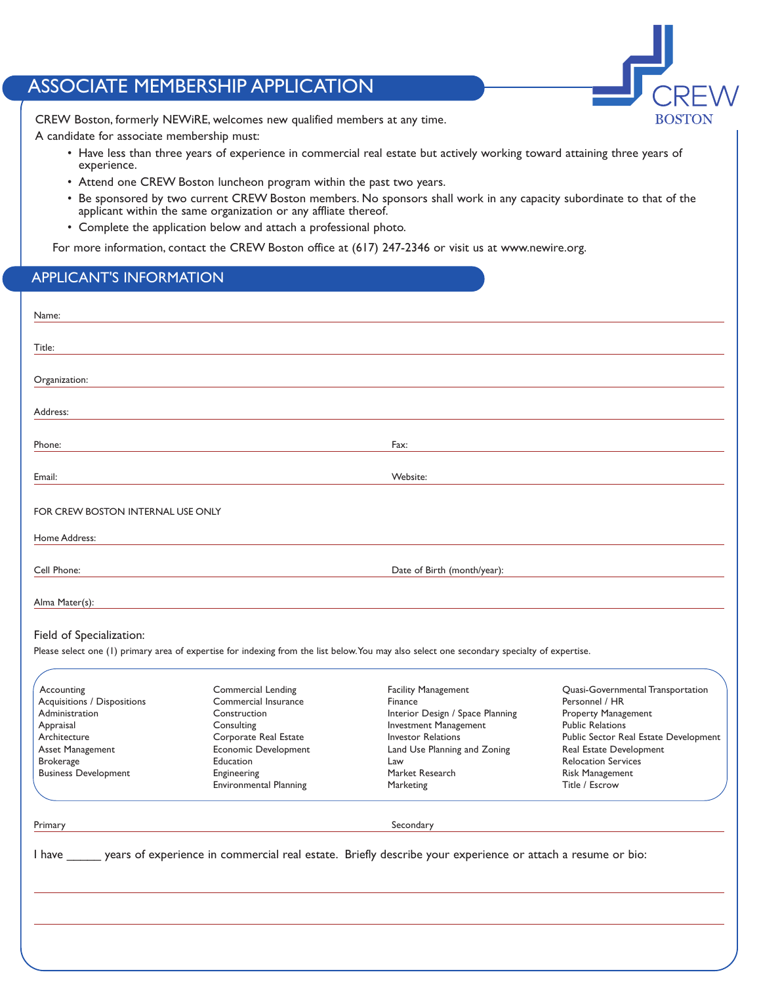## ASSOCIATE MEMBERSHIP APPLICATION



CREW Boston, formerly NEWiRE, welcomes new qualified members at any time.

A candidate for associate membership must:

- Have less than three years of experience in commercial real estate but actively working toward attaining three years of experience.
- Attend one CREW Boston luncheon program within the past two years.
- Be sponsored by two current CREW Boston members. No sponsors shall work in any capacity subordinate to that of the applicant within the same organization or any affliate thereof.
- Complete the application below and attach a professional photo.

For more information, contact the CREW Boston office at (617) 247-2346 or visit us at www.newire.org.

## APPLICANT'S INFORMATION

| Name:                                                                                                                                                                                       |                                                                                                                                                                                        |                                                                                                                                                                                                                                                                                                                                                              |                                                                                                                                                                                                                                              |
|---------------------------------------------------------------------------------------------------------------------------------------------------------------------------------------------|----------------------------------------------------------------------------------------------------------------------------------------------------------------------------------------|--------------------------------------------------------------------------------------------------------------------------------------------------------------------------------------------------------------------------------------------------------------------------------------------------------------------------------------------------------------|----------------------------------------------------------------------------------------------------------------------------------------------------------------------------------------------------------------------------------------------|
| Title:                                                                                                                                                                                      |                                                                                                                                                                                        |                                                                                                                                                                                                                                                                                                                                                              |                                                                                                                                                                                                                                              |
| Organization:                                                                                                                                                                               |                                                                                                                                                                                        |                                                                                                                                                                                                                                                                                                                                                              |                                                                                                                                                                                                                                              |
| Address:                                                                                                                                                                                    |                                                                                                                                                                                        |                                                                                                                                                                                                                                                                                                                                                              |                                                                                                                                                                                                                                              |
| Phone:                                                                                                                                                                                      |                                                                                                                                                                                        | Fax:                                                                                                                                                                                                                                                                                                                                                         |                                                                                                                                                                                                                                              |
| Email:                                                                                                                                                                                      |                                                                                                                                                                                        | Website:                                                                                                                                                                                                                                                                                                                                                     |                                                                                                                                                                                                                                              |
| FOR CREW BOSTON INTERNAL USE ONLY                                                                                                                                                           |                                                                                                                                                                                        |                                                                                                                                                                                                                                                                                                                                                              |                                                                                                                                                                                                                                              |
| Home Address:                                                                                                                                                                               |                                                                                                                                                                                        |                                                                                                                                                                                                                                                                                                                                                              |                                                                                                                                                                                                                                              |
| Cell Phone:                                                                                                                                                                                 |                                                                                                                                                                                        | Date of Birth (month/year):                                                                                                                                                                                                                                                                                                                                  |                                                                                                                                                                                                                                              |
| Alma Mater(s):                                                                                                                                                                              |                                                                                                                                                                                        |                                                                                                                                                                                                                                                                                                                                                              |                                                                                                                                                                                                                                              |
| Field of Specialization:<br>Accounting<br>Acquisitions / Dispositions<br>Administration<br>Appraisal<br>Architecture<br>Asset Management<br><b>Brokerage</b><br><b>Business Development</b> | Commercial Lending<br>Commercial Insurance<br>Construction<br>Consulting<br>Corporate Real Estate<br>Economic Development<br>Education<br>Engineering<br><b>Environmental Planning</b> | Please select one (1) primary area of expertise for indexing from the list below. You may also select one secondary specialty of expertise.<br><b>Facility Management</b><br>Finance<br>Interior Design / Space Planning<br><b>Investment Management</b><br><b>Investor Relations</b><br>Land Use Planning and Zoning<br>Law<br>Market Research<br>Marketing | Quasi-Governmental Transportation<br>Personnel / HR<br>Property Management<br><b>Public Relations</b><br>Public Sector Real Estate Development<br>Real Estate Development<br><b>Relocation Services</b><br>Risk Management<br>Title / Escrow |
| Primary                                                                                                                                                                                     |                                                                                                                                                                                        | Secondary                                                                                                                                                                                                                                                                                                                                                    |                                                                                                                                                                                                                                              |
|                                                                                                                                                                                             |                                                                                                                                                                                        | I have ______ years of experience in commercial real estate. Briefly describe your experience or attach a resume or bio:                                                                                                                                                                                                                                     |                                                                                                                                                                                                                                              |
|                                                                                                                                                                                             |                                                                                                                                                                                        |                                                                                                                                                                                                                                                                                                                                                              |                                                                                                                                                                                                                                              |
|                                                                                                                                                                                             |                                                                                                                                                                                        |                                                                                                                                                                                                                                                                                                                                                              |                                                                                                                                                                                                                                              |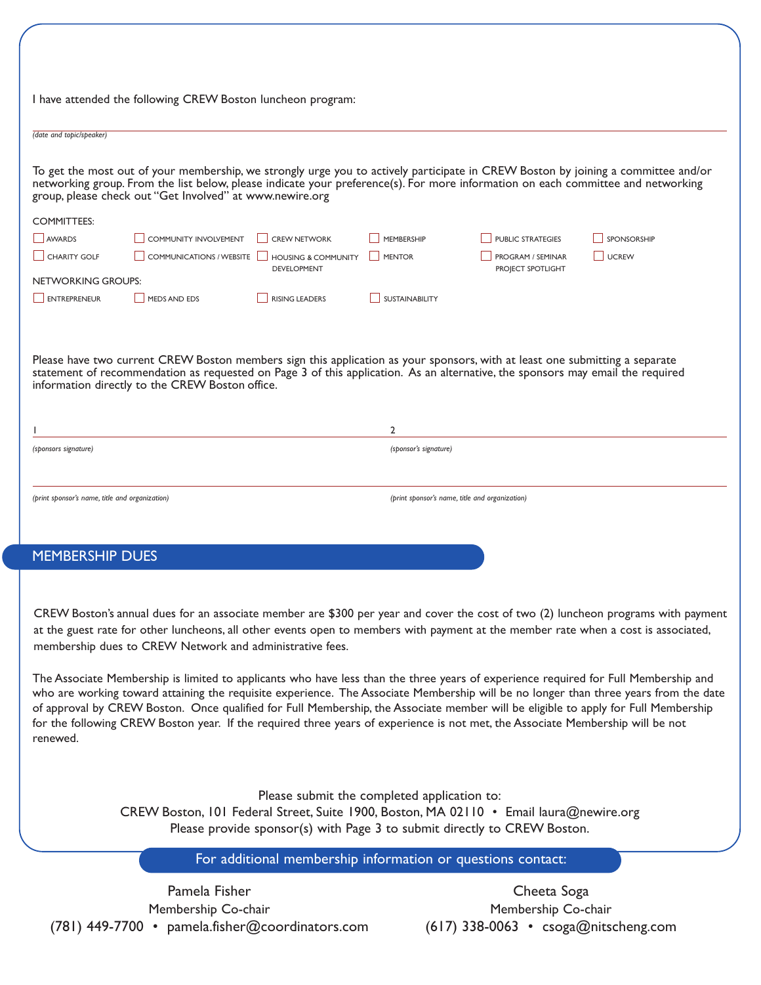|                                                | I have attended the following CREW Boston luncheon program:                                                                                                                                                                                                                                                                       |                                                      |                       |                                                |                    |  |
|------------------------------------------------|-----------------------------------------------------------------------------------------------------------------------------------------------------------------------------------------------------------------------------------------------------------------------------------------------------------------------------------|------------------------------------------------------|-----------------------|------------------------------------------------|--------------------|--|
| (date and topic/speaker)                       |                                                                                                                                                                                                                                                                                                                                   |                                                      |                       |                                                |                    |  |
|                                                | To get the most out of your membership, we strongly urge you to actively participate in CREW Boston by joining a committee and/or<br>networking group. From the list below, please indicate your preference(s). For more information on each committee and networking<br>group, please check out "Get Involved" at www.newire.org |                                                      |                       |                                                |                    |  |
| <b>COMMITTEES:</b>                             |                                                                                                                                                                                                                                                                                                                                   |                                                      |                       |                                                |                    |  |
| <b>AWARDS</b>                                  | <b>COMMUNITY INVOLVEMENT</b>                                                                                                                                                                                                                                                                                                      | <b>CREW NETWORK</b>                                  | <b>MEMBERSHIP</b>     | <b>PUBLIC STRATEGIES</b>                       | <b>SPONSORSHIP</b> |  |
| CHARITY GOLF                                   | <b>COMMUNICATIONS / WEBSITE</b>                                                                                                                                                                                                                                                                                                   | <b>HOUSING &amp; COMMUNITY</b><br><b>DEVELOPMENT</b> | <b>MENTOR</b>         | PROGRAM / SEMINAR<br>PROJECT SPOTLIGHT         | UCREW              |  |
| <b>NETWORKING GROUPS:</b>                      |                                                                                                                                                                                                                                                                                                                                   |                                                      |                       |                                                |                    |  |
| ENTREPRENEUR                                   | <b>MEDS AND EDS</b>                                                                                                                                                                                                                                                                                                               | <b>RISING LEADERS</b>                                | <b>SUSTAINABILITY</b> |                                                |                    |  |
|                                                | Please have two current CREW Boston members sign this application as your sponsors, with at least one submitting a separate<br>statement of recommendation as requested on Page 3 of this application. As an alternative, the sponsors may email the required<br>information directly to the CREW Boston office.                  |                                                      |                       |                                                |                    |  |
|                                                |                                                                                                                                                                                                                                                                                                                                   |                                                      | $\overline{2}$        |                                                |                    |  |
| (sponsors signature)                           |                                                                                                                                                                                                                                                                                                                                   |                                                      | (sponsor's signature) |                                                |                    |  |
| (print sponsor's name, title and organization) |                                                                                                                                                                                                                                                                                                                                   |                                                      |                       | (print sponsor's name, title and organization) |                    |  |

## MEMBERSHIP DUES

CREW Boston's annual dues for an associate member are \$300 per year and cover the cost of two (2) luncheon programs with payment at the guest rate for other luncheons, all other events open to members with payment at the member rate when a cost is associated, membership dues to CREW Network and administrative fees.

The Associate Membership is limited to applicants who have less than the three years of experience required for Full Membership and who are working toward attaining the requisite experience. The Associate Membership will be no longer than three years from the date of approval by CREW Boston. Once qualified for Full Membership, the Associate member will be eligible to apply for Full Membership for the following CREW Boston year. If the required three years of experience is not met, the Associate Membership will be not renewed.

> Please submit the completed application to: CREW Boston, 101 Federal Street, Suite 1900, Boston, MA 02110 • Email laura@newire.org Please provide sponsor(s) with Page 3 to submit directly to CREW Boston.

> > For additional membership information or questions contact:

Pamela Fisher Membership Co-chair (781) 449-7700 • pamela.fisher@coordinators.com

Cheeta Soga Membership Co-chair (617) 338-0063 • csoga@nitscheng.com